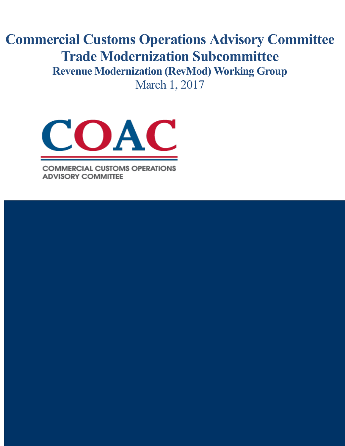# **Commercial Customs Operations Advisory Committee Trade Modernization Subcommittee Revenue Modernization (RevMod) Working Group** March 1, 2017



**COMMERCIAL CUSTOMS OPERATIONS ADVISORY COMMITTEE** 

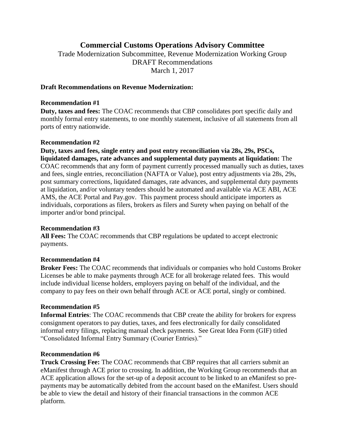## **Commercial Customs Operations Advisory Committee**

Trade Modernization Subcommittee, Revenue Modernization Working Group DRAFT Recommendations March 1, 2017

## **Draft Recommendations on Revenue Modernization:**

#### **Recommendation #1**

**Duty, taxes and fees:** The COAC recommends that CBP consolidates port specific daily and monthly formal entry statements, to one monthly statement, inclusive of all statements from all ports of entry nationwide.

#### **Recommendation #2**

**Duty, taxes and fees, single entry and post entry reconciliation via 28s, 29s, PSCs, liquidated damages, rate advances and supplemental duty payments at liquidation:** The COAC recommends that any form of payment currently processed manually such as duties, taxes and fees, single entries, reconciliation (NAFTA or Value), post entry adjustments via 28s, 29s, post summary corrections, liquidated damages, rate advances, and supplemental duty payments at liquidation, and/or voluntary tenders should be automated and available via ACE ABI, ACE AMS, the ACE Portal and Pay.gov. This payment process should anticipate importers as individuals, corporations as filers, brokers as filers and Surety when paying on behalf of the importer and/or bond principal.

## **Recommendation #3**

**All Fees:** The COAC recommends that CBP regulations be updated to accept electronic payments.

## **Recommendation #4**

**Broker Fees:** The COAC recommends that individuals or companies who hold Customs Broker Licenses be able to make payments through ACE for all brokerage related fees. This would include individual license holders, employers paying on behalf of the individual, and the company to pay fees on their own behalf through ACE or ACE portal, singly or combined.

## **Recommendation #5**

**Informal Entries**: The COAC recommends that CBP create the ability for brokers for express consignment operators to pay duties, taxes, and fees electronically for daily consolidated informal entry filings, replacing manual check payments. See Great Idea Form (GIF) titled "Consolidated Informal Entry Summary (Courier Entries)."

#### **Recommendation #6**

**Truck Crossing Fee:** The COAC recommends that CBP requires that all carriers submit an eManifest through ACE prior to crossing. In addition, the Working Group recommends that an ACE application allows for the set-up of a deposit account to be linked to an eManifest so prepayments may be automatically debited from the account based on the eManifest. Users should be able to view the detail and history of their financial transactions in the common ACE platform.